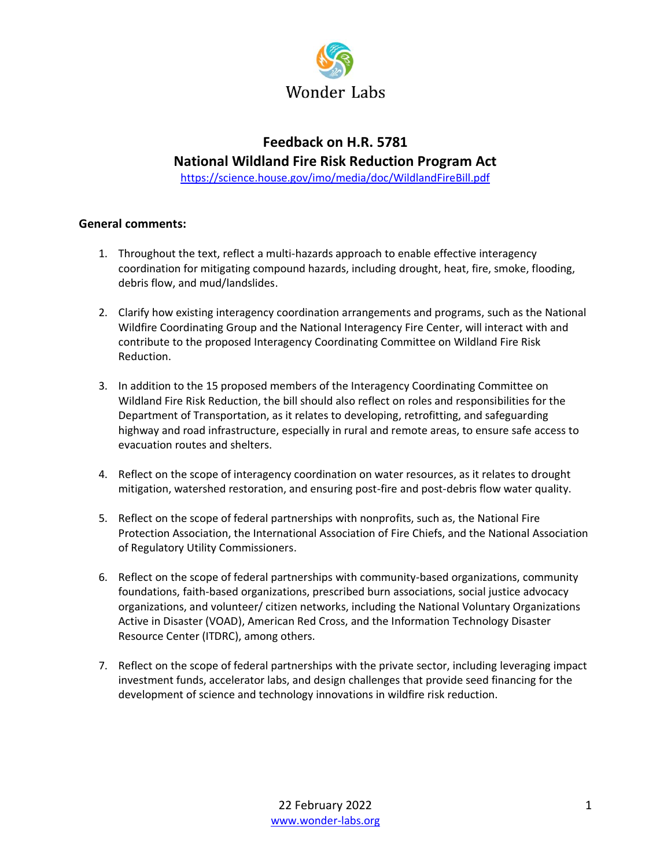

# **Feedback on H.R. 5781**

## **National Wildland Fire Risk Reduction Program Act**

<https://science.house.gov/imo/media/doc/WildlandFireBill.pdf>

#### **General comments:**

- 1. Throughout the text, reflect a multi-hazards approach to enable effective interagency coordination for mitigating compound hazards, including drought, heat, fire, smoke, flooding, debris flow, and mud/landslides.
- 2. Clarify how existing interagency coordination arrangements and programs, such as the National Wildfire Coordinating Group and the National Interagency Fire Center, will interact with and contribute to the proposed Interagency Coordinating Committee on Wildland Fire Risk Reduction.
- 3. In addition to the 15 proposed members of the Interagency Coordinating Committee on Wildland Fire Risk Reduction, the bill should also reflect on roles and responsibilities for the Department of Transportation, as it relates to developing, retrofitting, and safeguarding highway and road infrastructure, especially in rural and remote areas, to ensure safe access to evacuation routes and shelters.
- 4. Reflect on the scope of interagency coordination on water resources, as it relates to drought mitigation, watershed restoration, and ensuring post-fire and post-debris flow water quality.
- 5. Reflect on the scope of federal partnerships with nonprofits, such as, the National Fire Protection Association, the International Association of Fire Chiefs, and the National Association of Regulatory Utility Commissioners.
- 6. Reflect on the scope of federal partnerships with community-based organizations, community foundations, faith-based organizations, prescribed burn associations, social justice advocacy organizations, and volunteer/ citizen networks, including the National Voluntary Organizations Active in Disaster (VOAD), American Red Cross, and the Information Technology Disaster Resource Center (ITDRC), among others.
- 7. Reflect on the scope of federal partnerships with the private sector, including leveraging impact investment funds, accelerator labs, and design challenges that provide seed financing for the development of science and technology innovations in wildfire risk reduction.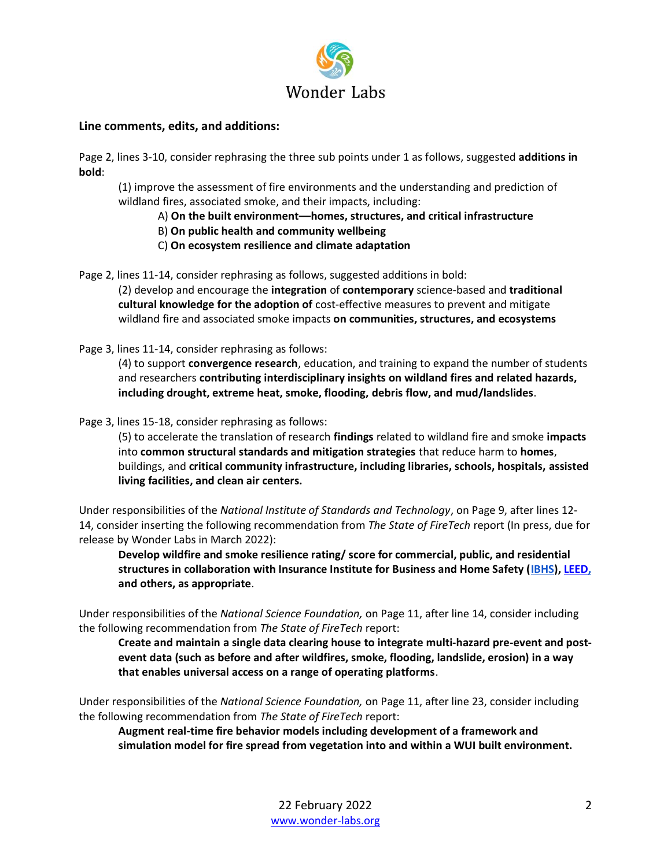

### **Line comments, edits, and additions:**

Page 2, lines 3-10, consider rephrasing the three sub points under 1 as follows, suggested **additions in bold**:

(1) improve the assessment of fire environments and the understanding and prediction of wildland fires, associated smoke, and their impacts, including:

- A) **On the built environment––homes, structures, and critical infrastructure**
- B) **On public health and community wellbeing**
- C) **On ecosystem resilience and climate adaptation**

Page 2, lines 11-14, consider rephrasing as follows, suggested additions in bold:

(2) develop and encourage the **integration** of **contemporary** science-based and **traditional cultural knowledge for the adoption of** cost-effective measures to prevent and mitigate wildland fire and associated smoke impacts **on communities, structures, and ecosystems**

Page 3, lines 11-14, consider rephrasing as follows:

(4) to support **convergence research**, education, and training to expand the number of students and researchers **contributing interdisciplinary insights on wildland fires and related hazards, including drought, extreme heat, smoke, flooding, debris flow, and mud/landslides**.

Page 3, lines 15-18, consider rephrasing as follows:

(5) to accelerate the translation of research **findings** related to wildland fire and smoke **impacts** into **common structural standards and mitigation strategies** that reduce harm to **homes**, buildings, and **critical community infrastructure, including libraries, schools, hospitals, assisted living facilities, and clean air centers.**

Under responsibilities of the *National Institute of Standards and Technology*, on Page 9, after lines 12- 14, consider inserting the following recommendation from *The State of FireTech* report (In press, due for release by Wonder Labs in March 2022):

**Develop wildfire and smoke resilience rating/ score for commercial, public, and residential structures in collaboration with Insurance Institute for Business and Home Safety [\(IBHS\)](https://ibhs.org/commercial/)[, LEED,](https://www.usgbc.org/leed) and others, as appropriate**.

Under responsibilities of the *National Science Foundation,* on Page 11, after line 14, consider including the following recommendation from *The State of FireTech* report:

**Create and maintain a single data clearing house to integrate multi-hazard pre-event and postevent data (such as before and after wildfires, smoke, flooding, landslide, erosion) in a way that enables universal access on a range of operating platforms**.

Under responsibilities of the *National Science Foundation,* on Page 11, after line 23, consider including the following recommendation from *The State of FireTech* report:

**Augment real-time fire behavior models including development of a framework and simulation model for fire spread from vegetation into and within a WUI built environment.**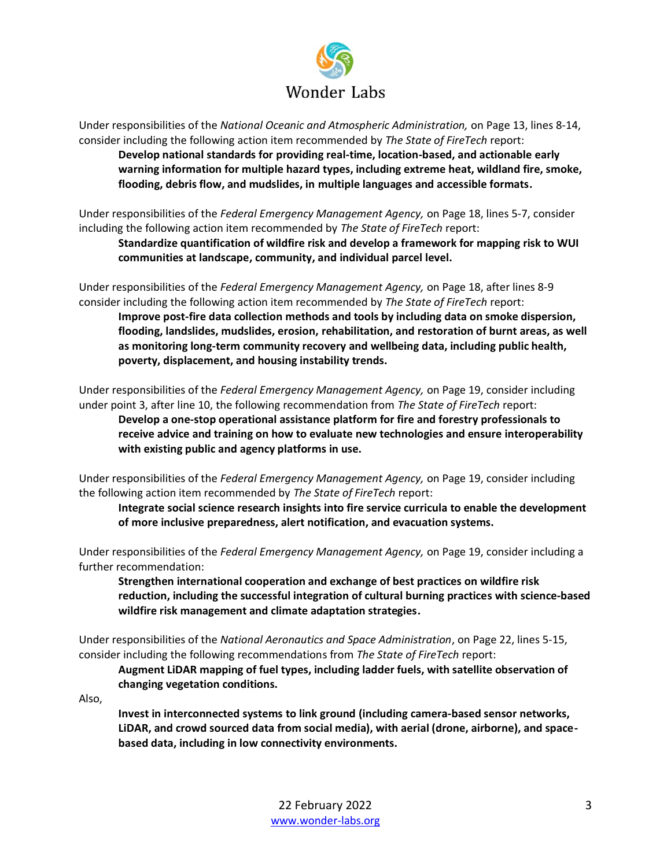

Under responsibilities of the *National Oceanic and Atmospheric Administration,* on Page 13, lines 8-14, consider including the following action item recommended by *The State of FireTech* report:

**Develop national standards for providing real-time, location-based, and actionable early warning information for multiple hazard types, including extreme heat, wildland fire, smoke, flooding, debris flow, and mudslides, in multiple languages and accessible formats.**

Under responsibilities of the *Federal Emergency Management Agency,* on Page 18, lines 5-7, consider including the following action item recommended by *The State of FireTech* report:

**Standardize quantification of wildfire risk and develop a framework for mapping risk to WUI communities at landscape, community, and individual parcel level.**

Under responsibilities of the *Federal Emergency Management Agency,* on Page 18, after lines 8-9 consider including the following action item recommended by *The State of FireTech* report:

**Improve post-fire data collection methods and tools by including data on smoke dispersion, flooding, landslides, mudslides, erosion, rehabilitation, and restoration of burnt areas, as well as monitoring long-term community recovery and wellbeing data, including public health, poverty, displacement, and housing instability trends.**

Under responsibilities of the *Federal Emergency Management Agency,* on Page 19, consider including under point 3, after line 10, the following recommendation from *The State of FireTech* report:

**Develop a one-stop operational assistance platform for fire and forestry professionals to receive advice and training on how to evaluate new technologies and ensure interoperability with existing public and agency platforms in use.**

Under responsibilities of the *Federal Emergency Management Agency,* on Page 19, consider including the following action item recommended by *The State of FireTech* report:

**Integrate social science research insights into fire service curricula to enable the development of more inclusive preparedness, alert notification, and evacuation systems.**

Under responsibilities of the *Federal Emergency Management Agency,* on Page 19, consider including a further recommendation:

**Strengthen international cooperation and exchange of best practices on wildfire risk reduction, including the successful integration of cultural burning practices with science-based wildfire risk management and climate adaptation strategies.** 

Under responsibilities of the *National Aeronautics and Space Administration*, on Page 22, lines 5-15, consider including the following recommendations from *The State of FireTech* report:

**Augment LiDAR mapping of fuel types, including ladder fuels, with satellite observation of changing vegetation conditions.**

Also,

**Invest in interconnected systems to link ground (including camera-based sensor networks, LiDAR, and crowd sourced data from social media), with aerial (drone, airborne), and spacebased data, including in low connectivity environments.**